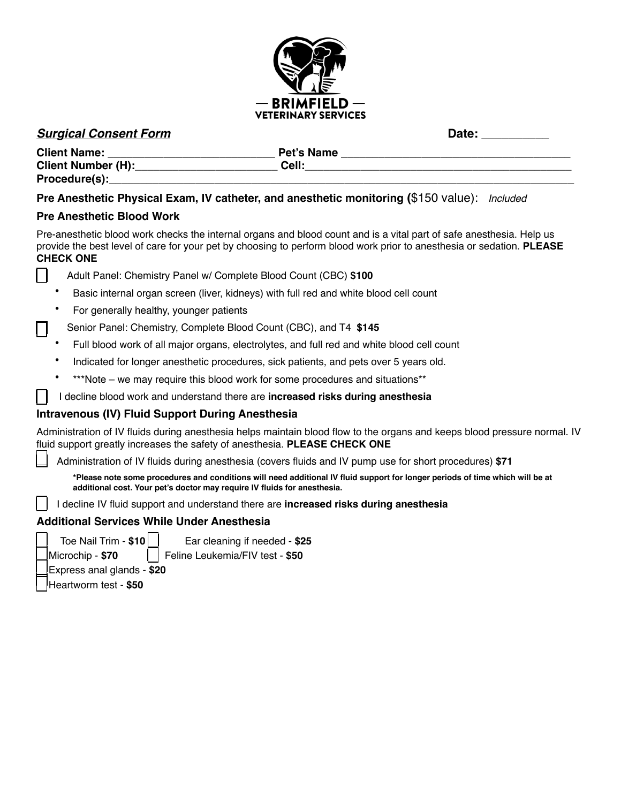

## **Surgical Consent Form Date: Date: Date: Date: Date: Date: Date: Date: Date: Date: Date: Date: Date: Date: Date: Date: Date: Date: Date: Date: Date: Date: Date: Date: Date:**

| <b>Client Name:</b>       | Pet's Name |  |
|---------------------------|------------|--|
| <b>Client Number (H):</b> | Cell:      |  |
| Procedure(s):             |            |  |

#### **Pre Anesthetic Physical Exam, IV catheter, and anesthetic monitoring (**\$150 value): *Included*

#### **Pre Anesthetic Blood Work**

Pre-anesthetic blood work checks the internal organs and blood count and is a vital part of safe anesthesia. Help us provide the best level of care for your pet by choosing to perform blood work prior to anesthesia or sedation. **PLEASE CHECK ONE** 

- Adult Panel: Chemistry Panel w/ Complete Blood Count (CBC) **\$100**
- Basic internal organ screen (liver, kidneys) with full red and white blood cell count
- For generally healthy, younger patients

Senior Panel: Chemistry, Complete Blood Count (CBC), and T4 **\$145** 

- Full blood work of all major organs, electrolytes, and full red and white blood cell count
- Indicated for longer anesthetic procedures, sick patients, and pets over 5 years old.
- \*\*\*Note we may require this blood work for some procedures and situations\*\*

#### I decline blood work and understand there are **increased risks during anesthesia**

## **Intravenous (IV) Fluid Support During Anesthesia**

Administration of IV fluids during anesthesia helps maintain blood flow to the organs and keeps blood pressure normal. IV fluid support greatly increases the safety of anesthesia. **PLEASE CHECK ONE** 

Administration of IV fluids during anesthesia (covers fluids and IV pump use for short procedures) **\$71** 

**\*Please note some procedures and conditions will need additional IV fluid support for longer periods of time which will be at additional cost. Your pet's doctor may require IV fluids for anesthesia.** 

I decline IV fluid support and understand there are **increased risks during anesthesia** 

#### **Additional Services While Under Anesthesia**



 Toe Nail Trim - **\$10** Ear cleaning if needed - **\$25** Microchip - **\$70** Feline Leukemia/FIV test - **\$50**

Express anal glands - **\$20**

Heartworm test - **\$50**